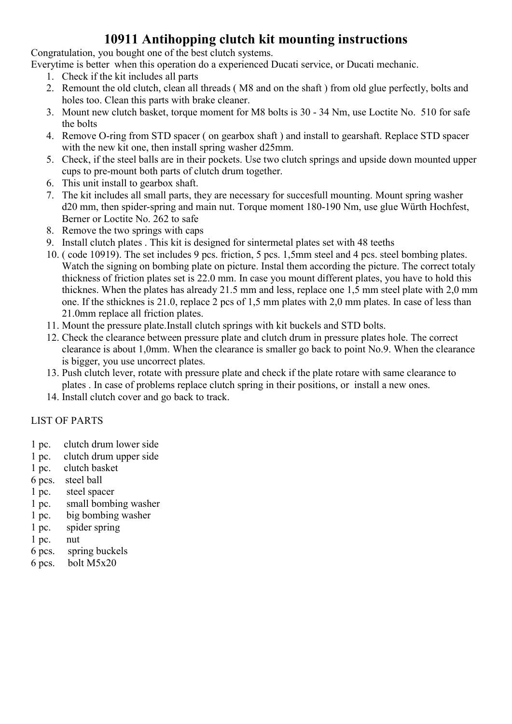#### 10911 Antihopping clutch kit mounting instructions

Congratulation, you bought one of the best clutch systems.

Everytime is better when this operation do a experienced Ducati service, or Ducati mechanic.

- 1. Check if the kit includes all parts
- 2. Remount the old clutch, clean all threads ( M8 and on the shaft ) from old glue perfectly, bolts and holes too. Clean this parts with brake cleaner.
- 3. Mount new clutch basket, torque moment for M8 bolts is 30 34 Nm, use Loctite No. 510 for safe the bolts
- 4. Remove O-ring from STD spacer ( on gearbox shaft ) and install to gearshaft. Replace STD spacer with the new kit one, then install spring washer d25mm.
- 5. Check, if the steel balls are in their pockets. Use two clutch springs and upside down mounted upper cups to pre-mount both parts of clutch drum together.
- 6. This unit install to gearbox shaft.
- 7. The kit includes all small parts, they are necessary for succesfull mounting. Mount spring washer d20 mm, then spider-spring and main nut. Torque moment 180-190 Nm, use glue Würth Hochfest, Berner or Loctite No. 262 to safe
- 8. Remove the two springs with caps
- 9. Install clutch plates . This kit is designed for sintermetal plates set with 48 teeths
- 10. ( code 10919). The set includes 9 pcs. friction, 5 pcs. 1,5mm steel and 4 pcs. steel bombing plates. Watch the signing on bombing plate on picture. Instal them according the picture. The correct totaly thickness of friction plates set is 22.0 mm. In case you mount different plates, you have to hold this thicknes. When the plates has already 21.5 mm and less, replace one 1,5 mm steel plate with 2,0 mm one. If the sthicknes is 21.0, replace 2 pcs of 1,5 mm plates with 2,0 mm plates. In case of less than 21.0mm replace all friction plates.
- 11. Mount the pressure plate.Install clutch springs with kit buckels and STD bolts.
- 12. Check the clearance between pressure plate and clutch drum in pressure plates hole. The correct clearance is about 1,0mm. When the clearance is smaller go back to point No.9. When the clearance is bigger, you use uncorrect plates.
- 13. Push clutch lever, rotate with pressure plate and check if the plate rotare with same clearance to plates . In case of problems replace clutch spring in their positions, or install a new ones.
- 14. Install clutch cover and go back to track.

#### LIST OF PARTS

- 1 pc. clutch drum lower side
- 1 pc. clutch drum upper side
- 1 pc. clutch basket
- 6 pcs. steel ball
- 1 pc. steel spacer
- 1 pc. small bombing washer
- 1 pc. big bombing washer
- 1 pc. spider spring
- 1 pc. nut
- 6 pcs. spring buckels
- 6 pcs. bolt M5x20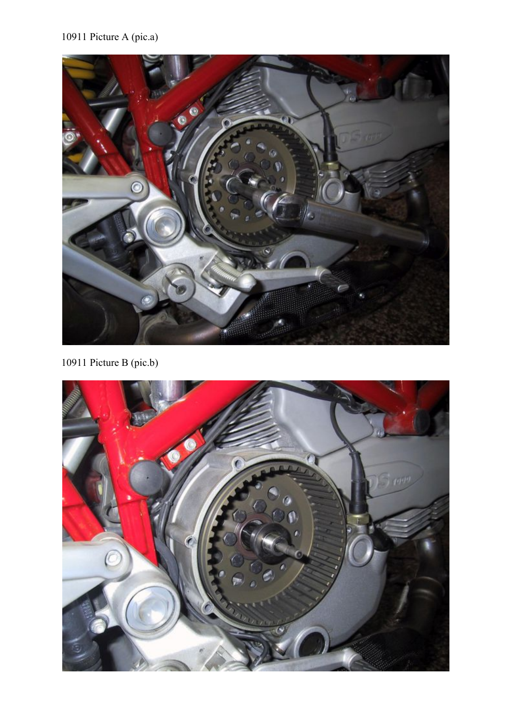

10911 Picture B (pic.b)

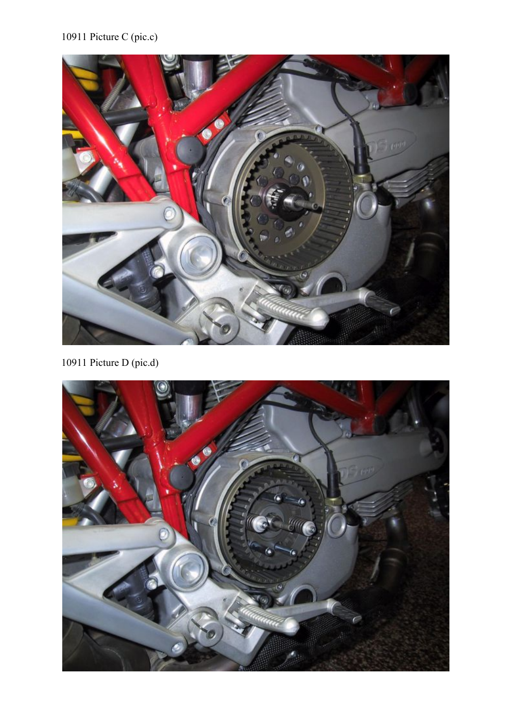## 10911 Picture C (pic.c)



10911 Picture D (pic.d)

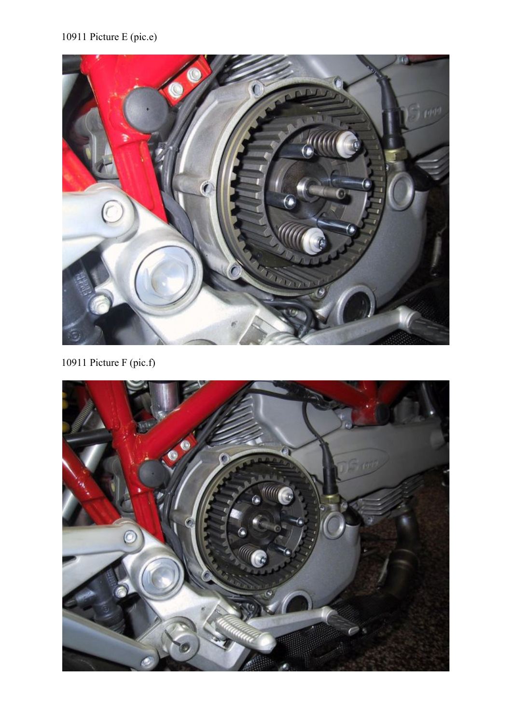## 10911 Picture E (pic.e)



10911 Picture F (pic.f)

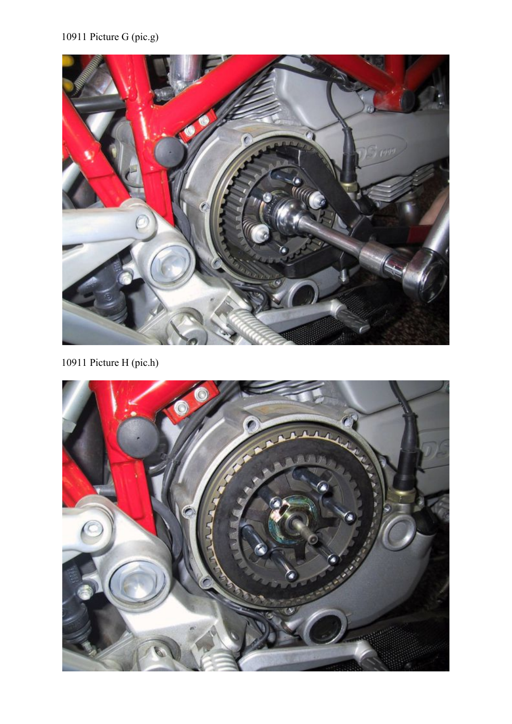# 10911 Picture G (pic.g)



10911 Picture H (pic.h)